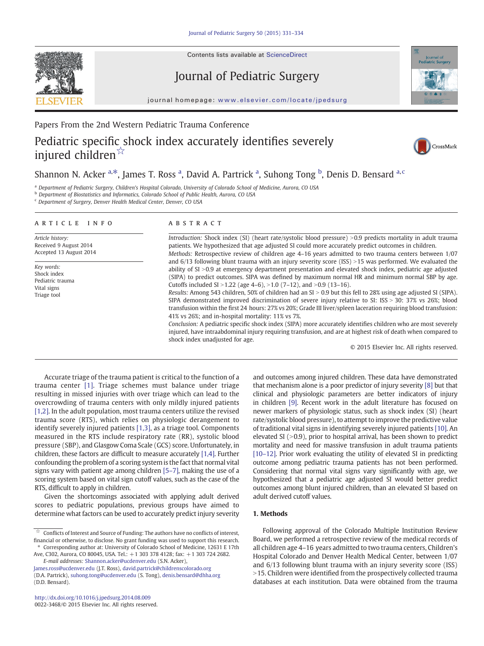Contents lists available at [ScienceDirect](http://www.sciencedirect.com/science/journal/)

# Journal of Pediatric Surgery



journal homepage: www.elsevier.com/locate/jpedsurg

### Papers From the 2nd Western Pediatric Trauma Conference

# Pediatric specific shock index accurately identifies severely injured children☆



## Shannon N. Acker <sup>a,\*</sup>, James T. Ross <sup>a</sup>, David A. Partrick <sup>a</sup>, Suhong Tong <sup>b</sup>, Denis D. Bensard <sup>a, c</sup>

<sup>a</sup> Department of Pediatric Surgery, Children's Hospital Colorado, University of Colorado School of Medicine, Aurora, CO USA

<sup>b</sup> Department of Biostatistics and Informatics, Colorado School of Public Health, Aurora, CO USA

<sup>c</sup> Department of Surgery, Denver Health Medical Center, Denver, CO USA

#### article info abstract

Article history: Received 9 August 2014 Accepted 13 August 2014

Key words: Shock index Pediatric trauma Vital signs Triage tool

Introduction: Shock index (SI) (heart rate/systolic blood pressure) >0.9 predicts mortality in adult trauma patients. We hypothesized that age adjusted SI could more accurately predict outcomes in children. Methods: Retrospective review of children age 4–16 years admitted to two trauma centers between 1/07 and  $6/13$  following blunt trauma with an injury severity score (ISS) >15 was performed. We evaluated the ability of SI >0.9 at emergency department presentation and elevated shock index, pediatric age adjusted (SIPA) to predict outcomes. SIPA was defined by maximum normal HR and minimum normal SBP by age. Cutoffs included SI  $>1.22$  (age 4–6),  $>1.0$  (7–12), and  $>0.9$  (13–16).

Results: Among 543 children, 50% of children had an SI > 0.9 but this fell to 28% using age adjusted SI (SIPA). SIPA demonstrated improved discrimination of severe injury relative to SI: ISS > 30: 37% vs 26%; blood transfusion within the first 24 hours: 27% vs 20%; Grade III liver/spleen laceration requiring blood transfusion: 41% vs 26%; and in-hospital mortality: 11% vs 7%.

Conclusion: A pediatric specific shock index (SIPA) more accurately identifies children who are most severely injured, have intraabdominal injury requiring transfusion, and are at highest risk of death when compared to shock index unadjusted for age.

© 2015 Elsevier Inc. All rights reserved.

Accurate triage of the trauma patient is critical to the function of a trauma center [\[1\]](#page-3-0). Triage schemes must balance under triage resulting in missed injuries with over triage which can lead to the overcrowding of trauma centers with only mildly injured patients [\[1,2\].](#page-3-0) In the adult population, most trauma centers utilize the revised trauma score (RTS), which relies on physiologic derangement to identify severely injured patients [\[1,3\],](#page-3-0) as a triage tool. Components measured in the RTS include respiratory rate (RR), systolic blood pressure (SBP), and Glasgow Coma Scale (GCS) score. Unfortunately, in children, these factors are difficult to measure accurately [\[1,4\]](#page-3-0). Further confounding the problem of a scoring system is the fact that normal vital signs vary with patient age among children [\[5](#page-3-0)–7], making the use of a scoring system based on vital sign cutoff values, such as the case of the RTS, difficult to apply in children.

Given the shortcomings associated with applying adult derived scores to pediatric populations, previous groups have aimed to determine what factors can be used to accurately predict injury severity

Ave, C302, Aurora, CO 80045, USA. Tel.: +1 303 378 4128; fax: +1 303 724 2682. E-mail addresses: [Shannon.acker@ucdenver.edu](mailto:Shannon.acker@ucdenver.edu) (S.N. Acker),

[James.ross@ucdenver.edu](mailto:James.ross@ucdenver.edu) (J.T. Ross), [david.partrick@childrenscolorado.org](mailto:david.partrick@childrenscolorado.org) (D.A. Partrick), [suhong.tong@ucdenver.edu](mailto:suhong.tong@ucdenver.edu) (S. Tong), [denis.bensard@dhha.org](mailto:denis.bensard@dhha.org) (D.D. Bensard).

and outcomes among injured children. These data have demonstrated that mechanism alone is a poor predictor of injury severity [\[8\]](#page-3-0) but that clinical and physiologic parameters are better indicators of injury in children [\[9\]](#page-3-0). Recent work in the adult literature has focused on newer markers of physiologic status, such as shock index (SI) (heart rate/systolic blood pressure), to attempt to improve the predictive value of traditional vital signs in identifying severely injured patients [\[10\]](#page-3-0). An elevated SI  $(>0.9)$ , prior to hospital arrival, has been shown to predict mortality and need for massive transfusion in adult trauma patients [10–[12\]](#page-3-0). Prior work evaluating the utility of elevated SI in predicting outcome among pediatric trauma patients has not been performed. Considering that normal vital signs vary significantly with age, we hypothesized that a pediatric age adjusted SI would better predict outcomes among blunt injured children, than an elevated SI based on adult derived cutoff values.

### 1. Methods

Following approval of the Colorado Multiple Institution Review Board, we performed a retrospective review of the medical records of all children age 4–16 years admitted to two trauma centers, Children's Hospital Colorado and Denver Health Medical Center, between 1/07 and 6/13 following blunt trauma with an injury severity score (ISS) >15. Children were identified from the prospectively collected trauma databases at each institution. Data were obtained from the trauma

 $\overrightarrow{x}$  Conflicts of Interest and Source of Funding: The authors have no conflicts of interest, financial or otherwise, to disclose. No grant funding was used to support this research. ⁎ Corresponding author at: University of Colorado School of Medicine, 12631 E 17th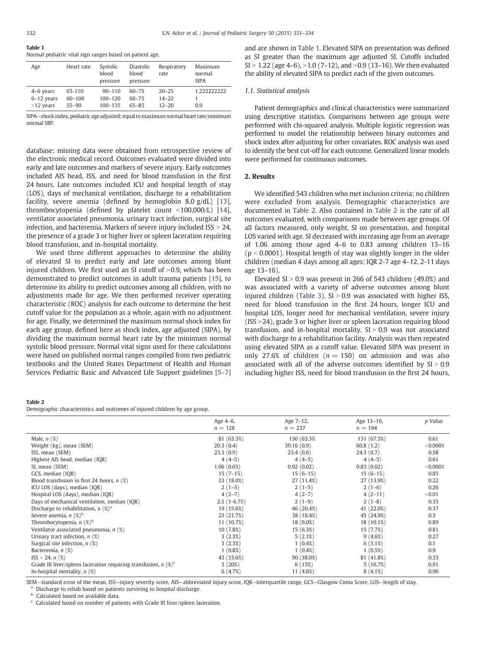| $\mathbf{1}$ where $\mathbf{1}$ |                                                          |  |  |  |  |
|---------------------------------|----------------------------------------------------------|--|--|--|--|
|                                 | Normal pediatric vital sign ranges based on patient age. |  |  |  |  |

| Age                                        | Heart rate                        | Systolic<br>blood<br>pressure            | Diastolic<br>blood<br>pressure  | Respiratory<br>rate                 | Maximum<br>normal<br><b>SIPA</b> |
|--------------------------------------------|-----------------------------------|------------------------------------------|---------------------------------|-------------------------------------|----------------------------------|
| $4-6$ years<br>$6-12$ years<br>$>12$ years | 65-110<br>$60 - 100$<br>$55 - 90$ | $90 - 110$<br>$100 - 120$<br>$100 - 135$ | $60 - 75$<br>$60 - 75$<br>65-85 | $20 - 25$<br>$14 - 22$<br>$12 - 20$ | 1.222222222<br>0.9               |

SIPA—shock index, pediatric age adjusted; equal to maximum normal heart rate/minimum normal SBP.

database; missing data were obtained from retrospective review of the electronic medical record. Outcomes evaluated were divided into early and late outcomes and markers of severe injury. Early outcomes included AIS head, ISS, and need for blood transfusion in the first 24 hours. Late outcomes included ICU and hospital length of stay (LOS), days of mechanical ventilation, discharge to a rehabilitation facility, severe anemia (defined by hemoglobin 8.0 g/dL) [\[13\],](#page-3-0) thrombocytopenia (defined by platelet count  $\langle 100,000/L \rangle$  [\[14\],](#page-3-0) ventilator associated pneumonia, urinary tract infection, surgical site infection, and bacteremia. Markers of severe injury included  $ISS > 24$ , the presence of a grade 3 or higher liver or spleen laceration requiring blood transfusion, and in-hospital mortality.

We used three different approaches to determine the ability of elevated SI to predict early and late outcomes among blunt injured children. We first used an SI cutoff of  $>0.9$ , which has been demonstrated to predict outcomes in adult trauma patients [\[15\]](#page-3-0), to determine its ability to predict outcomes among all children, with no adjustments made for age. We then performed receiver operating characteristic (ROC) analysis for each outcome to determine the best cutoff value for the population as a whole, again with no adjustment for age. Finally, we determined the maximum normal shock index for each age group, defined here as shock index, age adjusted (SIPA), by dividing the maximum normal heart rate by the minimum normal systolic blood pressure. Normal vital signs used for these calculations were based on published normal ranges compiled from two pediatric textbooks and the United States Department of Health and Human Services Pediatric Basic and Advanced Life Support guidelines [\[5](#page-3-0)–7] and are shown in Table 1. Elevated SIPA on presentation was defined as SI greater than the maximum age adjusted SI. Cutoffs included  $SI > 1.22$  (age 4–6),  $> 1.0$  (7–12), and  $> 0.9$  (13–16). We then evaluated the ability of elevated SIPA to predict each of the given outcomes.

#### 1.1. Statistical analysis

Patient demographics and clinical characteristics were summarized using descriptive statistics. Comparisons between age groups were performed with chi-squared analysis. Multiple logistic regression was performed to model the relationship between binary outcomes and shock index after adjusting for other covariates. ROC analysis was used to identify the best cut-off for each outcome. Generalized linear models were performed for continuous outcomes.

### 2. Results

We identified 543 children who met inclusion criteria; no children were excluded from analysis. Demographic characteristics are documented in Table 2. Also contained in Table 2 is the rate of all outcomes evaluated, with comparisons made between age groups. Of all factors measured, only weight, SI on presentation, and hospital LOS varied with age. SI decreased with increasing age from an average of 1.06 among those aged 4–6 to 0.83 among children 13–16  $(p < 0.0001)$ . Hospital length of stay was slightly longer in the older children (median 4 days among all ages; IQR 2-7 age 4–12, 2-11 days age 13–16).

Elevated SI  $> 0.9$  was present in 266 of 543 children (49.0%) and was associated with a variety of adverse outcomes among blunt injured children [\(Table 3](#page-2-0)).  $SI > 0.9$  was associated with higher ISS, need for blood transfusion in the first 24 hours, longer ICU and hospital LOS, longer need for mechanical ventilation, severe injury (ISS  $>$  24), grade 3 or higher liver or spleen laceration requiring blood transfusion, and in-hospital mortality.  $SI > 0.9$  was not associated with discharge to a rehabilitation facility. Analysis was then repeated using elevated SIPA as a cutoff value. Elevated SIPA was present in only 27.6% of children ( $n = 150$ ) on admission and was also associated with all of the adverse outcomes identified by  $SI > 0.9$ including higher ISS, need for blood transfusion in the first 24 hours,

#### Table 2

Demographic characteristics and outcomes of injured children by age group.

|                                                                               | Age 4-6,<br>$n = 128$ | Age 7-12,<br>$n = 237$ | Age 13-16,<br>$n = 194$ | p Value  |
|-------------------------------------------------------------------------------|-----------------------|------------------------|-------------------------|----------|
| Male, $n$ $(\%)$                                                              | 81 (63.3%)            | 150 (63.3%)            | 131 (67.5%)             | 0.61     |
| Weight (kg), mean (SEM)                                                       | 20.3(0.4)             | 39.16 (0.9)            | 60.8(1.2)               | < 0.0001 |
| ISS, mean (SEM)                                                               | 23.3(0.9)             | 23.4(0.6)              | 24.3(0.7)               | 0.58     |
| Highest AIS head, median (IQR)                                                | $4(4-5)$              | $4(4-5)$               | $4(4-5)$                | 0.61     |
| SI, mean (SEM)                                                                | 1.06(0.03)            | 0.92(0.02)             | 0.83(0.02)              | < 0.0001 |
| GCS, median (IQR)                                                             | $15(7-15)$            | $15(6-15)$             | $15(6-15)$              | 0.85     |
| Blood transfusion in first 24 hours, $n$ (%)                                  | 23 (18.0%)            | 27 (11.4%)             | 27 (13.9%)              | 0.22     |
| ICU LOS (days), median (IQR)                                                  | $2(1-5)$              | $2(1-5)$               | $2(1-6)$                | 0.26     |
| Hospital LOS (days), median (IQR)                                             | $4(2-7)$              | $4(2-7)$               | $4(2-11)$               | < 0.01   |
| Days of mechanical ventilation, median (IQR)                                  | $2.5(1-6.75)$         | $2(1-9)$               | $2(1-8)$                | 0.35     |
| Discharge to rehabilitation, $n$ (%) <sup>a</sup>                             | 19 (15.6%)            | 46 (20.4%)             | 41 (22.0%)              | 0.37     |
| Severe anemia, $n$ (%) <sup>b</sup>                                           | 23 (21.7%)            | 38 (18.4%)             | 45 (24.9%)              | 0.3      |
| Thrombocytopenia, $n$ (%) <sup>b</sup>                                        | 11 (10.7%)            | 18 (9.0%)              | 18 (10.1%)              | 0.89     |
| Ventilator associated pneumonia, $n$ (%)                                      | 10 (7.8%)             | 15 (6.3%)              | 15 (7.7%)               | 0.81     |
| Urinary tract infection, $n$ (%)                                              | 3(2.3%)               | 5(2.1%)                | 9(4.6%)                 | 0.27     |
| Surgical site infection, $n$ (%)                                              | 3(2.3%)               | $1(0.4\%)$             | 6(3.1%)                 | 0.1      |
| Bacteremia, n (%)                                                             | $1(0.8\%)$            | $1(0.4\%)$             | 1(0.5%)                 | 0.9      |
| $ISS > 24, n (\%)$                                                            | 43 (33.6%)            | 90 (38.0%)             | 81 (41.8%)              | 0.33     |
| Grade III liver/spleen laceration requiring transfusion, $n$ (%) <sup>c</sup> | 3(20%)                | 6(15%)                 | 5(16.7%)                | 0.91     |
| In-hospital mortality, $n$ (%)                                                | 6(4.7%)               | 11 (4.6%)              | 8(4.1%)                 | 0.96     |
|                                                                               |                       |                        |                         |          |

SEM—standard error of the mean, ISS—injury severity score, AIS—abbreviated injury score, IQR—interquartile range, GCS—Glasgow Coma Score, LOS—length of stay. Discharge to rehab based on patients surviving to hospital discharge.

**b** Calculated based on available data.

 $c$  Calculated based on number of patients with Grade III liver/spleen laceration.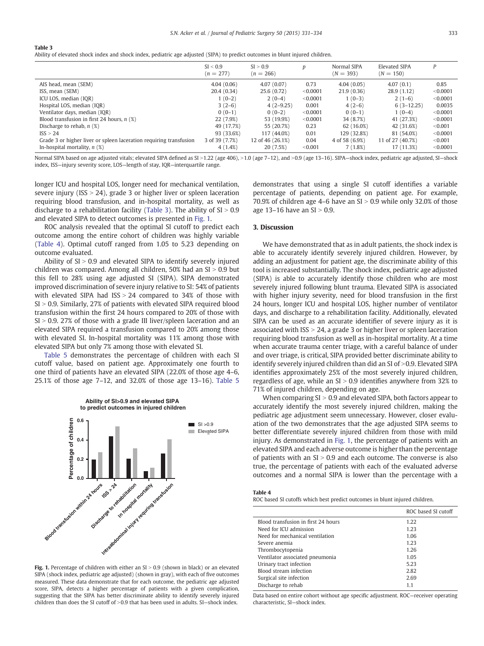<span id="page-2-0"></span>Table 3

Ability of elevated shock index and shock index, pediatric age adjusted (SIPA) to predict outcomes in blunt injured children.

|                                                                    | SI < 0.9<br>$(n = 277)$ | SI > 0.9<br>$(n = 266)$ | D        | Normal SIPA<br>$(N = 393)$ | Elevated SIPA<br>$(N = 150)$ |          |
|--------------------------------------------------------------------|-------------------------|-------------------------|----------|----------------------------|------------------------------|----------|
| AIS head, mean (SEM)                                               | 4.04(0.06)              | 4.07(0.07)              | 0.73     | 4.04(0.05)                 | 4.07(0.1)                    | 0.85     |
| ISS, mean (SEM)                                                    | 20.4(0.34)              | 25.6(0.72)              | < 0.0001 | 21.9(0.36)                 | 28.9(1.12)                   | < 0.0001 |
| ICU LOS, median (IQR)                                              | $1(0-2)$                | $2(0-4)$                | < 0.0001 | $1(0-3)$                   | $2(1-6)$                     | < 0.0001 |
| Hospital LOS, median (IQR)                                         | $3(2-6)$                | $4(2-9.25)$             | 0.001    | $4(2-6)$                   | $6(3-12.25)$                 | 0.0035   |
| Ventilator days, median (IQR)                                      | $0(0-1)$                | $0(0-2)$                | < 0.0001 | $0(0-1)$                   | $1(0-4)$                     | < 0.0001 |
| Blood transfusion in first 24 hours, $n$ (%)                       | 22 (7.9%)               | 53 (19.9%)              | < 0.0001 | 34 (8.7%)                  | 41 (27.3%)                   | < 0.0001 |
| Discharge to rehab, $n$ (%)                                        | 49 (17.7%)              | 55 (20.7%)              | 0.23     | 62 (16.0%)                 | 42 (31.6%)                   | < 0.001  |
| ISS > 24                                                           | 93 (33.6%)              | 117 (44.0%)             | 0.01     | 129 (32.8%)                | 81 (54.0%)                   | < 0.0001 |
| Grade 3 or higher liver or spleen laceration requiring transfusion | 3 of 39 (7.7%)          | 12 of 46 (26.1%)        | 0.04     | 4 of 58 (6.9%)             | 11 of 27 (40.7%)             | < 0.001  |
| In-hospital mortality, $n$ (%)                                     | 4(1.4%)                 | 20 (7.5%)               | < 0.001  | 7(1.8%)                    | 17 (11.3%)                   | < 0.0001 |

Normal SIPA based on age adjusted vitals; elevated SIPA defined as SI >1.22 (age 406), >1.0 (age 7-12), and >0.9 (age 13-16). SIPA-shock index, pediatric age adjusted, SI-shock index, ISS—injury severity score, LOS—length of stay, IQR—interquartile range.

longer ICU and hospital LOS, longer need for mechanical ventilation, severe injury (ISS  $> 24$ ), grade 3 or higher liver or spleen laceration requiring blood transfusion, and in-hospital mortality, as well as discharge to a rehabilitation facility (Table 3). The ability of  $SI > 0.9$ and elevated SIPA to detect outcomes is presented in Fig. 1.

ROC analysis revealed that the optimal SI cutoff to predict each outcome among the entire cohort of children was highly variable (Table 4). Optimal cutoff ranged from 1.05 to 5.23 depending on outcome evaluated.

Ability of  $SI > 0.9$  and elevated SIPA to identify severely injured children was compared. Among all children,  $50\%$  had an SI  $> 0.9$  but this fell to 28% using age adjusted SI (SIPA). SIPA demonstrated improved discrimination of severe injury relative to SI: 54% of patients with elevated SIPA had  $ISS > 24$  compared to 34% of those with  $SI > 0.9$ . Similarly, 27% of patients with elevated SIPA required blood transfusion within the first 24 hours compared to 20% of those with  $SI > 0.9$ . 27% of those with a grade III liver/spleen laceration and an elevated SIPA required a transfusion compared to 20% among those with elevated SI. In-hospital mortality was 11% among those with elevated SIPA but only 7% among those with elevated SI.

[Table 5](#page-3-0) demonstrates the percentage of children with each SI cutoff value, based on patient age. Approximately one fourth to one third of patients have an elevated SIPA (22.0% of those age 4–6, 25.1% of those age 7–12, and 32.0% of those age 13–16). [Table 5](#page-3-0)



Fig. 1. Percentage of children with either an  $SI > 0.9$  (shown in black) or an elevated SIPA (shock index, pediatric age adjusted) (shown in gray), with each of five outcomes measured. These data demonstrate that for each outcome, the pediatric age adjusted score, SIPA, detects a higher percentage of patients with a given complication, suggesting that the SIPA has better discriminate ability to identify severely injured children than does the SI cutoff of  $>0.9$  that has been used in adults. SI-shock index.

demonstrates that using a single SI cutoff identifies a variable percentage of patients, depending on patient age. For example, 70.9% of children age 4–6 have an  $SI > 0.9$  while only 32.0% of those age  $13-16$  have an  $SI > 0.9$ .

#### 3. Discussion

Table 4

We have demonstrated that as in adult patients, the shock index is able to accurately identify severely injured children. However, by adding an adjustment for patient age, the discriminate ability of this tool is increased substantially. The shock index, pediatric age adjusted (SIPA) is able to accurately identify those children who are most severely injured following blunt trauma. Elevated SIPA is associated with higher injury severity, need for blood transfusion in the first 24 hours, longer ICU and hospital LOS, higher number of ventilator days, and discharge to a rehabilitation facility. Additionally, elevated SIPA can be used as an accurate identifier of severe injury as it is associated with ISS  $> 24$ , a grade 3 or higher liver or spleen laceration requiring blood transfusion as well as in-hospital mortality. At a time when accurate trauma center triage, with a careful balance of under and over triage, is critical, SIPA provided better discriminate ability to identify severely injured children than did an  $SI$  of  $>0.9$ . Elevated SIPA identifies approximately 25% of the most severely injured children, regardless of age, while an  $SI > 0.9$  identifies anywhere from 32% to 71% of injured children, depending on age.

When comparing  $SI > 0.9$  and elevated SIPA, both factors appear to accurately identify the most severely injured children, making the pediatric age adjustment seem unnecessary. However, closer evaluation of the two demonstrates that the age adjusted SIPA seems to better differentiate severely injured children from those with mild injury. As demonstrated in Fig. 1, the percentage of patients with an elevated SIPA and each adverse outcome is higher than the percentage of patients with an  $SI > 0.9$  and each outcome. The converse is also true, the percentage of patients with each of the evaluated adverse outcomes and a normal SIPA is lower than the percentage with a

ROC based SI cutoffs which best predict outcomes in blunt injured children.

|                                     | ROC based SI cutoff |
|-------------------------------------|---------------------|
| Blood transfusion in first 24 hours | 1.22                |
| Need for ICU admission              | 1.23                |
| Need for mechanical ventilation     | 1.06                |
| Severe anemia                       | 1.23                |
| Thrombocytopenia                    | 1.26                |
| Ventilator associated pneumonia     | 1.05                |
| Urinary tract infection             | 5.23                |
| Blood stream infection              | 2.82                |
| Surgical site infection             | 2.69                |
| Discharge to rehab                  | 1.1                 |

Data based on entire cohort without age specific adjustment. ROC—receiver operating characteristic, SI—shock index.